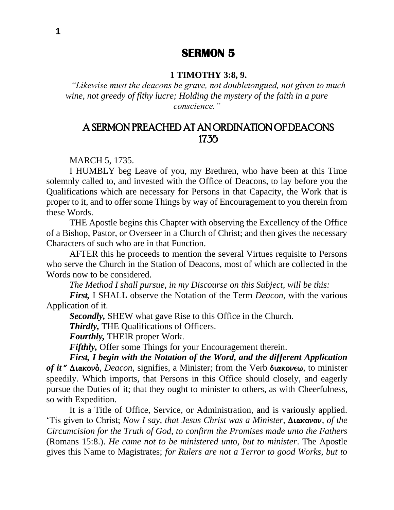## **SERMON 5**

#### **1 TIMOTHY 3:8, 9.**

*"Likewise must the deacons be grave, not doubletongued, not given to much wine, not greedy of flthy lucre; Holding the mystery of the faith in a pure conscience."*

# A SERMON PREACHED AT AN ORDINATION OF DEACONS 1735

MARCH 5, 1735.

I HUMBLY beg Leave of you, my Brethren, who have been at this Time solemnly called to, and invested with the Office of Deacons, to lay before you the Qualifications which are necessary for Persons in that Capacity, the Work that is proper to it, and to offer some Things by way of Encouragement to you therein from these Words.

THE Apostle begins this Chapter with observing the Excellency of the Office of a Bishop, Pastor, or Overseer in a Church of Christ; and then gives the necessary Characters of such who are in that Function.

AFTER this he proceeds to mention the several Virtues requisite to Persons who serve the Church in the Station of Deacons, most of which are collected in the Words now to be considered.

*The Method I shall pursue, in my Discourse on this Subject, will be this:*

*First,* I SHALL observe the Notation of the Term *Deacon,* with the various Application of it.

*Secondly,* SHEW what gave Rise to this Office in the Church.

*Thirdly,* THE Qualifications of Officers.

*Fourthly,* THEIR proper Work.

*Fifthly,* Offer some Things for your Encouragement therein.

*First, I begin with the Notation of the Word, and the different Application*  of *it* " Διακονό, *Deacon*, signifies, a Minister; from the Verb διακονεω, to minister speedily. Which imports, that Persons in this Office should closely, and eagerly pursue the Duties of it; that they ought to minister to others, as with Cheerfulness, so with Expedition.

It is a Title of Office, Service, or Administration, and is variously applied. 'Tis given to Christ; *Now I say, that Jesus Christ was a Minister,*  $\Delta$ *lakovov, <i>of the Circumcision for the Truth of God, to confirm the Promises made unto the Fathers* (Romans 15:8.). *He came not to be ministered unto, but to minister*. The Apostle gives this Name to Magistrates; *for Rulers are not a Terror to good Works, but to*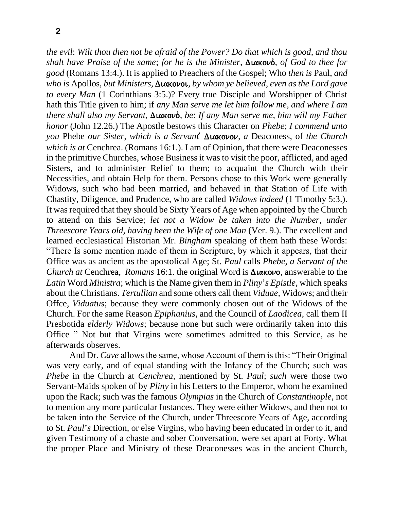*the evil*: *Wilt thou then not be afraid of the Power? Do that which is good, and thou shalt have Praise of the same; for he is the Minister, Διακονό, of God to thee for good* (Romans 13:4.). It is applied to Preachers of the Gospel; Who *then is* Paul, *and who is Apollos, but Ministers, Διακονοι, by whom ye believed, even as the Lord gave to every Man* (1 Corinthians 3:5.)? Every true Disciple and Worshipper of Christ hath this Title given to him; if *any Man serve me let him follow me, and where I am there shall also my Servant, Διακονό, be: If any Man serve me, him will my Father honor* (John 12.26.) The Apostle bestows this Character on *Phebe*; *I commend unto you* Phebe *our Sister, which is a Servant* Διακονον, a Deaconess, of *the Church which is at* Cenchrea. (Romans 16:1.). I am of Opinion, that there were Deaconesses in the primitive Churches, whose Business it was to visit the poor, afflicted, and aged Sisters, and to administer Relief to them; to acquaint the Church with their Necessities, and obtain Help for them. Persons chose to this Work were generally Widows, such who had been married, and behaved in that Station of Life with Chastity, Diligence, and Prudence, who are called *Widows indeed* (1 Timothy 5:3.). It was required that they should be Sixty Years of Age when appointed by the Church to attend on this Service; *let not a Widow be taken into the Number, under Threescore Years old, having been the Wife of one Man (Ver. 9.). The excellent and* learned ecclesiastical Historian Mr. *Bingham* speaking of them hath these Words: "There Is some mention made of them in Scripture, by which it appears, that their Office was as ancient as the apostolical Age; St. *Paul* calls *Phebe, a Servant of the Church at* Cenchrea, *Romans* 16:1. the original Word is  $\Delta$ *laxovo*, answerable to the *Latin* Word *Ministra*; which is the Name given them in *Pliny*'*s Epistle,* which speaks about the Christians. *Tertullian* and some others call them *Viduae,* Widows; and their Offce, *Viduatus*; because they were commonly chosen out of the Widows of the Church. For the same Reason *Epiphanius*, and the Council of *Laodicea,* call them II Presbotida *elderly Widows*; because none but such were ordinarily taken into this Office " Not but that Virgins were sometimes admitted to this Service, as he afterwards observes.

And Dr. *Cave* allows the same, whose Account of them is this: "Their Original was very early, and of equal standing with the Infancy of the Church; such was *Phebe* in the Church at *Cenchrea,* mentioned by St. *Paul*; *such* were those two Servant-Maids spoken of by *Pliny* in his Letters to the Emperor, whom he examined upon the Rack; such was the famous *Olympias* in the Church of *Constantinople,* not to mention any more particular Instances. They were either Widows, and then not to be taken into the Service of the Church, under Threescore Years of Age, according to St. *Paul*'*s* Direction, or else Virgins, who having been educated in order to it, and given Testimony of a chaste and sober Conversation, were set apart at Forty. What the proper Place and Ministry of these Deaconesses was in the ancient Church,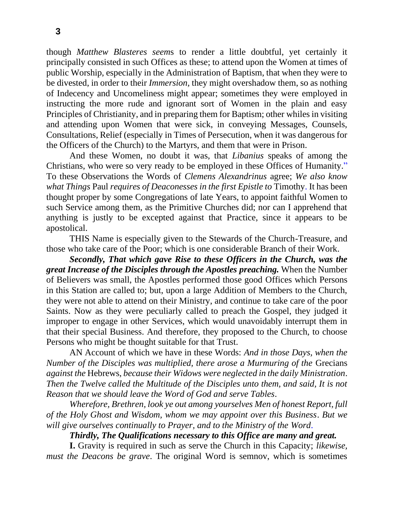though *Matthew Blasteres seem*s to render a little doubtful, yet certainly it principally consisted in such Offices as these; to attend upon the Women at times of public Worship, especially in the Administration of Baptism, that when they were to be divested, in order to their *Immersion,* they might overshadow them, so as nothing of Indecency and Uncomeliness might appear; sometimes they were employed in instructing the more rude and ignorant sort of Women in the plain and easy Principles of Christianity, and in preparing them for Baptism; other whiles in visiting and attending upon Women that were sick, in conveying Messages, Counsels, Consultations, Relief (especially in Times of Persecution, when it was dangerous for the Officers of the Church) to the Martyrs, and them that were in Prison.

And these Women, no doubt it was, that *Libanius* speaks of among the Christians, who were so very ready to be employed in these Offices of Humanity." To these Observations the Words of *Clemens Alexandrinus* agree; *We also know what Things* Paul *requires of Deaconesses in the first Epistle to* Timothy. It has been thought proper by some Congregations of late Years, to appoint faithful Women to such Service among them, as the Primitive Churches did; nor can I apprehend that anything is justly to be excepted against that Practice, since it appears to be apostolical.

THIS Name is especially given to the Stewards of the Church-Treasure, and those who take care of the Poor; which is one considerable Branch of their Work.

*Secondly, That which gave Rise to these Officers in the Church, was the great Increase of the Disciples through the Apostles preaching.* When the Number of Believers was small, the Apostles performed those good Offices which Persons in this Station are called to; but, upon a large Addition of Members to the Church, they were not able to attend on their Ministry, and continue to take care of the poor Saints. Now as they were peculiarly called to preach the Gospel, they judged it improper to engage in other Services, which would unavoidably interrupt them in that their special Business. And therefore, they proposed to the Church, to choose Persons who might be thought suitable for that Trust.

AN Account of which we have in these Words: *And in those Days, when the Number of the Disciples was multiplied, there arose a Murmuring of the* Grecians *against the* Hebrews, *because their Widows were neglected in the daily Ministration*. *Then the Twelve called the Multitude of the Disciples unto them, and said, It is not Reason that we should leave the Word of God and serve Tables*.

*Wherefore, Brethren, look ye out among yourselves Men of honest Report, full of the Holy Ghost and Wisdom, whom we may appoint over this Business*. *But we will give ourselves continually to Prayer, and to the Ministry of the Word*.

*Thirdly, The Qualifications necessary to this Office are many and great.*

**I.** Gravity is required in such as serve the Church in this Capacity; *likewise, must the Deacons be grave*. The original Word is semnov, which is sometimes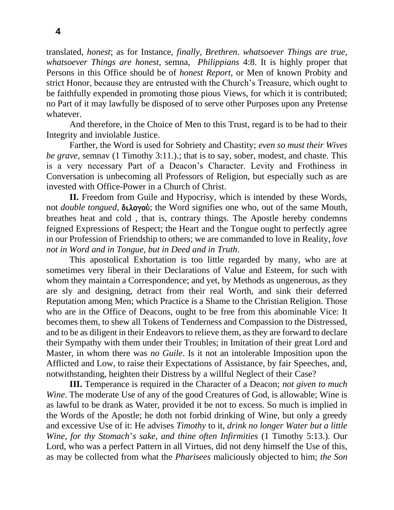translated, *honest*; as for Instance, *finally, Brethren*. *whatsoever Things are true, whatsoever Things are honest,* semna, *Philippians* 4:8. It is highly proper that Persons in this Office should be of *honest Report,* or Men of known Probity and strict Honor, because they are entrusted with the Church's Treasure, which ought to be faithfully expended in promoting those pious Views, for which it is contributed; no Part of it may lawfully be disposed of to serve other Purposes upon any Pretense whatever.

And therefore, in the Choice of Men to this Trust, regard is to be had to their Integrity and inviolable Justice.

Farther, the Word is used for Sobriety and Chastity; *even so must their Wives be grave,* semnav (1 Timothy 3:11.).; that is to say, sober, modest, and chaste. This is a very necessary Part of a Deacon's Character. Levity and Frothiness in Conversation is unbecoming all Professors of Religion, but especially such as are invested with Office-Power in a Church of Christ.

**II.** Freedom from Guile and Hypocrisy, which is intended by these Words, not *double tongued*, **διλογού**; the Word signifies one who, out of the same Mouth, breathes heat and cold , that is, contrary things. The Apostle hereby condemns feigned Expressions of Respect; the Heart and the Tongue ought to perfectly agree in our Profession of Friendship to others; we are commanded to love in Reality, *love not in Word and in Tongue, but in Deed and in Truth*.

This apostolical Exhortation is too little regarded by many, who are at sometimes very liberal in their Declarations of Value and Esteem, for such with whom they maintain a Correspondence; and yet, by Methods as ungenerous, as they are sly and designing, detract from their real Worth, and sink their deferred Reputation among Men; which Practice is a Shame to the Christian Religion. Those who are in the Office of Deacons, ought to be free from this abominable Vice: It becomes them, to shew all Tokens of Tenderness and Compassion to the Distressed, and to be as diligent in their Endeavors to relieve them, as they are forward to declare their Sympathy with them under their Troubles; in Imitation of their great Lord and Master, in whom there was *no Guile*. Is it not an intolerable Imposition upon the Afflicted and Low, to raise their Expectations of Assistance, by fair Speeches, and, notwithstanding, heighten their Distress by a willful Neglect of their Case?

**III.** Temperance is required in the Character of a Deacon; *not given to much Wine*. The moderate Use of any of the good Creatures of God, is allowable; Wine is as lawful to be drank as Water, provided it be not to excess. So much is implied in the Words of the Apostle; he doth not forbid drinking of Wine, but only a greedy and excessive Use of it: He advises *Timothy* to it, *drink no longer Water but a little Wine, for thy Stomach*'*s sake, and thine often Infirmities* (1 Timothy 5:13.). Our Lord, who was a perfect Pattern in all Virtues, did not deny himself the Use of this, as may be collected from what the *Pharisees* maliciously objected to him; *the Son*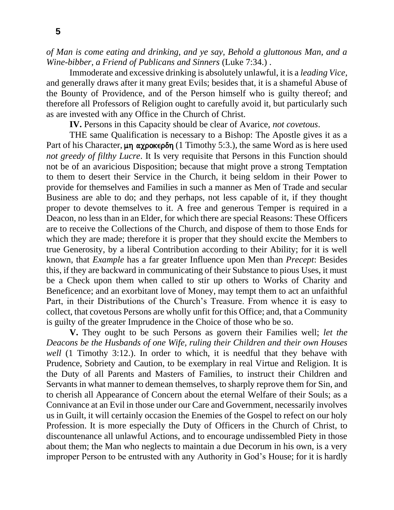*of Man is come eating and drinking, and ye say, Behold a gluttonous Man, and a Wine-bibber, a Friend of Publicans and Sinners* (Luke 7:34.) .

Immoderate and excessive drinking is absolutely unlawful, it is a *leading Vice*, and generally draws after it many great Evils; besides that, it is a shameful Abuse of the Bounty of Providence, and of the Person himself who is guilty thereof; and therefore all Professors of Religion ought to carefully avoid it, but particularly such as are invested with any Office in the Church of Christ.

**IV.** Persons in this Capacity should be clear of Avarice, *not covetous*.

THE same Qualification is necessary to a Bishop: The Apostle gives it as a Part of his Character,  $\mu$ η αχροκερδη (1 Timothy 5:3.), the same Word as is here used *not greedy of filthy Lucre*. It Is very requisite that Persons in this Function should not be of an avaricious Disposition; because that might prove a strong Temptation to them to desert their Service in the Church, it being seldom in their Power to provide for themselves and Families in such a manner as Men of Trade and secular Business are able to do; and they perhaps, not less capable of it, if they thought proper to devote themselves to it. A free and generous Temper is required in a Deacon, no less than in an Elder, for which there are special Reasons: These Officers are to receive the Collections of the Church, and dispose of them to those Ends for which they are made; therefore it is proper that they should excite the Members to true Generosity, by a liberal Contribution according to their Ability; for it is well known, that *Example* has a far greater Influence upon Men than *Precept*: Besides this, if they are backward in communicating of their Substance to pious Uses, it must be a Check upon them when called to stir up others to Works of Charity and Beneficence; and an exorbitant love of Money, may tempt them to act an unfaithful Part, in their Distributions of the Church's Treasure. From whence it is easy to collect, that covetous Persons are wholly unfit for this Office; and, that a Community is guilty of the greater Imprudence in the Choice of those who be so.

**V.** They ought to be such Persons as govern their Families well; *let the Deacons be the Husbands of one Wife, ruling their Children and their own Houses well* (1 Timothy 3:12.). In order to which, it is needful that they behave with Prudence, Sobriety and Caution, to be exemplary in real Virtue and Religion. It is the Duty of all Parents and Masters of Families, to instruct their Children and Servants in what manner to demean themselves, to sharply reprove them for Sin, and to cherish all Appearance of Concern about the eternal Welfare of their Souls; as a Connivance at an Evil in those under our Care and Government, necessarily involves us in Guilt, it will certainly occasion the Enemies of the Gospel to refect on our holy Profession. It is more especially the Duty of Officers in the Church of Christ, to discountenance all unlawful Actions, and to encourage undissembled Piety in those about them; the Man who neglects to maintain a due Decorum in his own, is a very improper Person to be entrusted with any Authority in God's House; for it is hardly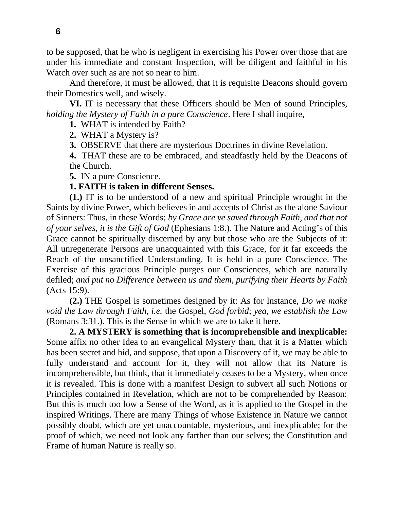to be supposed, that he who is negligent in exercising his Power over those that are under his immediate and constant Inspection, will be diligent and faithful in his Watch over such as are not so near to him.

And therefore, it must be allowed, that it is requisite Deacons should govern their Domestics well, and wisely.

**VI.** IT is necessary that these Officers should be Men of sound Principles, *holding the Mystery of Faith in a pure Conscience*. Here I shall inquire,

**1.** WHAT is intended by Faith?

**2.** WHAT a Mystery is?

**3.** OBSERVE that there are mysterious Doctrines in divine Revelation.

**4.** THAT these are to be embraced, and steadfastly held by the Deacons of the Church.

**5.** IN a pure Conscience.

#### **1. FAITH is taken in different Senses.**

**(1.)** IT is to be understood of a new and spiritual Principle wrought in the Saints by divine Power, which believes in and accepts of Christ as the alone Saviour of Sinners: Thus, in these Words; *by Grace are ye saved through Faith, and that not of your selves, it is the Gift of God* (Ephesians 1:8.). The Nature and Acting's of this Grace cannot be spiritually discerned by any but those who are the Subjects of it: All unregenerate Persons are unacquainted with this Grace, for it far exceeds the Reach of the unsanctified Understanding. It is held in a pure Conscience. The Exercise of this gracious Principle purges our Consciences, which are naturally defiled; *and put no Difference between us and them, purifying their Hearts by Faith* (Acts 15:9).

**(2.)** THE Gospel is sometimes designed by it: As for Instance, *Do we make void the Law through Faith, i.e.* the Gospel, *God forbid*; *yea, we establish the Law*  (Romans 3:31.). This is the Sense in which we are to take it here.

**2. A MYSTERY is something that is incomprehensible and inexplicable:** Some affix no other Idea to an evangelical Mystery than, that it is a Matter which has been secret and hid, and suppose, that upon a Discovery of it, we may be able to fully understand and account for it, they will not allow that its Nature is incomprehensible, but think, that it immediately ceases to be a Mystery, when once it is revealed. This is done with a manifest Design to subvert all such Notions or Principles contained in Revelation, which are not to be comprehended by Reason: But this is much too low a Sense of the Word, as it is applied to the Gospel in the inspired Writings. There are many Things of whose Existence in Nature we cannot possibly doubt, which are yet unaccountable, mysterious, and inexplicable; for the proof of which, we need not look any farther than our selves; the Constitution and Frame of human Nature is really so.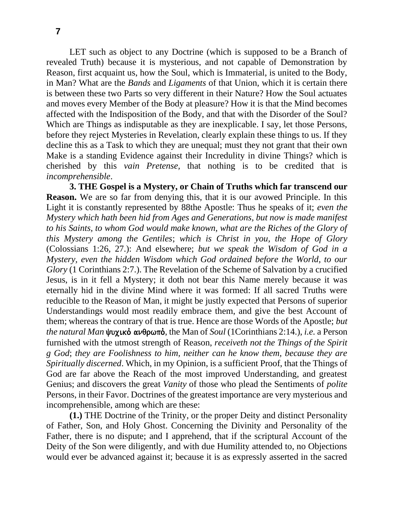LET such as object to any Doctrine (which is supposed to be a Branch of revealed Truth) because it is mysterious, and not capable of Demonstration by Reason, first acquaint us, how the Soul, which is Immaterial, is united to the Body, in Man? What are the *Bands* and *Ligaments* of that Union, which it is certain there is between these two Parts so very different in their Nature? How the Soul actuates and moves every Member of the Body at pleasure? How it is that the Mind becomes affected with the Indisposition of the Body, and that with the Disorder of the Soul? Which are Things as indisputable as they are inexplicable. I say, let those Persons, before they reject Mysteries in Revelation, clearly explain these things to us. If they decline this as a Task to which they are unequal; must they not grant that their own Make is a standing Evidence against their Incredulity in divine Things? which is cherished by this *vain Pretense,* that nothing is to be credited that is *incomprehensible*.

**3. THE Gospel is a Mystery, or Chain of Truths which far transcend our Reason.** We are so far from denying this, that it is our avowed Principle. In this Light it is constantly represented by 88the Apostle: Thus he speaks of it; *even the Mystery which hath been hid from Ages and Generations, but now is made manifest*  to his Saints, to whom God would make known, what are the Riches of the Glory of *this Mystery among the Gentiles*; *which is Christ in you, the Hope of Glory* (Colossians 1:26, 27.): And elsewhere; *but we speak the Wisdom of God in a Mystery, even the hidden Wisdom which God ordained before the World, to our Glory* (1 Corinthians 2:7.). The Revelation of the Scheme of Salvation by a crucified Jesus, is in it fell a Mystery; it doth not bear this Name merely because it was eternally hid in the divine Mind where it was formed: If all sacred Truths were reducible to the Reason of Man, it might be justly expected that Persons of superior Understandings would most readily embrace them, and give the best Account of them; whereas the contrary of that is true. Hence are those Words of the Apostle; *but*  the natural Man ψυχικό ανθρωπό, the Man of *Soul* (1Corinthians 2:14.), *i.e.* a Person furnished with the utmost strength of Reason, *receiveth not the Things of the Spirit g God*; *they are Foolishness to him, neither can he know them, because they are Spiritually discerned*. Which, in my Opinion, is a sufficient Proof, that the Things of God are far above the Reach of the most improved Understanding, and greatest Genius; and discovers the great *Vanity* of those who plead the Sentiments of *polite*  Persons, in their Favor. Doctrines of the greatest importance are very mysterious and incomprehensible, among which are these:

**(1.)** THE Doctrine of the Trinity, or the proper Deity and distinct Personality of Father, Son, and Holy Ghost. Concerning the Divinity and Personality of the Father, there is no dispute; and I apprehend, that if the scriptural Account of the Deity of the Son were diligently, and with due Humility attended to, no Objections would ever be advanced against it; because it is as expressly asserted in the sacred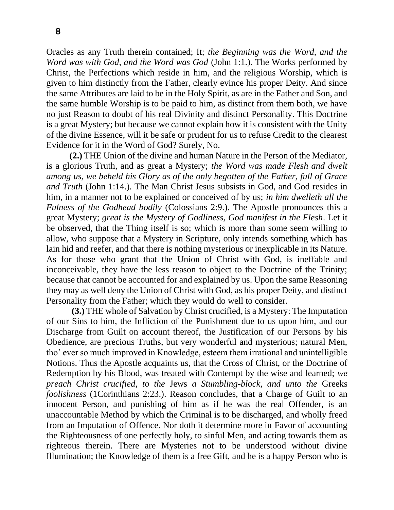Oracles as any Truth therein contained; It; *the Beginning was the Word, and the Word was with God, and the Word was God* (John 1:1.). The Works performed by Christ, the Perfections which reside in him, and the religious Worship, which is given to him distinctly from the Father, clearly evince his proper Deity. And since the same Attributes are laid to be in the Holy Spirit, as are in the Father and Son, and the same humble Worship is to be paid to him, as distinct from them both, we have no just Reason to doubt of his real Divinity and distinct Personality. This Doctrine is a great Mystery; but because we cannot explain how it is consistent with the Unity of the divine Essence, will it be safe or prudent for us to refuse Credit to the clearest Evidence for it in the Word of God? Surely, No.

**(2.)** THE Union of the divine and human Nature in the Person of the Mediator, is a glorious Truth, and as great a Mystery; *the Word was made Flesh and dwelt among us, we beheld his Glory as of the only begotten of the Father, full of Grace and Truth* (John 1:14.). The Man Christ Jesus subsists in God, and God resides in him, in a manner not to be explained or conceived of by us; *in him dwelleth all the Fulness of the Godhead bodily* (Colossians 2:9.). The Apostle pronounces this a great Mystery; *great is the Mystery of Godliness, God manifest in the Flesh*. Let it be observed, that the Thing itself is so; which is more than some seem willing to allow, who suppose that a Mystery in Scripture, only intends something which has lain hid and reefer, and that there is nothing mysterious or inexplicable in its Nature. As for those who grant that the Union of Christ with God, is ineffable and inconceivable, they have the less reason to object to the Doctrine of the Trinity; because that cannot be accounted for and explained by us. Upon the same Reasoning they may as well deny the Union of Christ with God, as his proper Deity, and distinct Personality from the Father; which they would do well to consider.

**(3.)** THE whole of Salvation by Christ crucified, is a Mystery: The Imputation of our Sins to him, the Infliction of the Punishment due to us upon him, and our Discharge from Guilt on account thereof, the Justification of our Persons by his Obedience, are precious Truths, but very wonderful and mysterious; natural Men, tho' ever so much improved in Knowledge, esteem them irrational and unintelligible Notions. Thus the Apostle acquaints us, that the Cross of Christ, or the Doctrine of Redemption by his Blood, was treated with Contempt by the wise and learned; *we preach Christ crucified, to the* Jews *a Stumbling-block, and unto the* Greeks *foolishness* (1Corinthians 2:23.). Reason concludes, that a Charge of Guilt to an innocent Person, and punishing of him as if he was the real Offender, is an unaccountable Method by which the Criminal is to be discharged, and wholly freed from an Imputation of Offence. Nor doth it determine more in Favor of accounting the Righteousness of one perfectly holy, to sinful Men, and acting towards them as righteous therein. There are Mysteries not to be understood without divine Illumination; the Knowledge of them is a free Gift, and he is a happy Person who is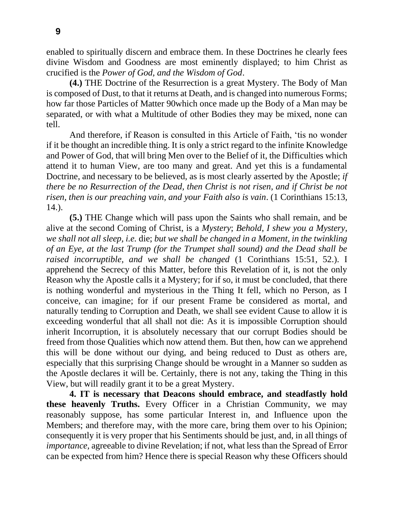enabled to spiritually discern and embrace them. In these Doctrines he clearly fees divine Wisdom and Goodness are most eminently displayed; to him Christ as crucified is the *Power of God, and the Wisdom of God*.

**(4.)** THE Doctrine of the Resurrection is a great Mystery. The Body of Man is composed of Dust, to that it returns at Death, and is changed into numerous Forms; how far those Particles of Matter 90which once made up the Body of a Man may be separated, or with what a Multitude of other Bodies they may be mixed, none can tell.

And therefore, if Reason is consulted in this Article of Faith, 'tis no wonder if it be thought an incredible thing. It is only a strict regard to the infinite Knowledge and Power of God, that will bring Men over to the Belief of it, the Difficulties which attend it to human View, are too many and great. And yet this is a fundamental Doctrine, and necessary to be believed, as is most clearly asserted by the Apostle; *if there be no Resurrection of the Dead, then Christ is not risen, and if Christ be not risen, then is our preaching vain, and your Faith also is vain*. (1 Corinthians 15:13, 14.).

**(5.)** THE Change which will pass upon the Saints who shall remain, and be alive at the second Coming of Christ, is a *Mystery*; *Behold, I shew you a Mystery, we shall not all sleep, i.e.* die; *but we shall be changed in a Moment, in the twinkling of an Eye, at the last Trump (for the Trumpet shall sound) and the Dead shall be raised incorruptible, and we shall be changed* (1 Corinthians 15:51, 52.). I apprehend the Secrecy of this Matter, before this Revelation of it, is not the only Reason why the Apostle calls it a Mystery; for if so, it must be concluded, that there is nothing wonderful and mysterious in the Thing It fell, which no Person, as I conceive, can imagine; for if our present Frame be considered as mortal, and naturally tending to Corruption and Death, we shall see evident Cause to allow it is exceeding wonderful that all shall not die: As it is impossible Corruption should inherit Incorruption, it is absolutely necessary that our corrupt Bodies should be freed from those Qualities which now attend them. But then, how can we apprehend this will be done without our dying, and being reduced to Dust as others are, especially that this surprising Change should be wrought in a Manner so sudden as the Apostle declares it will be. Certainly, there is not any, taking the Thing in this View, but will readily grant it to be a great Mystery.

**4. IT is necessary that Deacons should embrace, and steadfastly hold these heavenly Truths.** Every Officer in a Christian Community, we may reasonably suppose, has some particular Interest in, and Influence upon the Members; and therefore may, with the more care, bring them over to his Opinion; consequently it is very proper that his Sentiments should be just, and, in all things of *importance,* agreeable to divine Revelation; if not, what less than the Spread of Error can be expected from him? Hence there is special Reason why these Officers should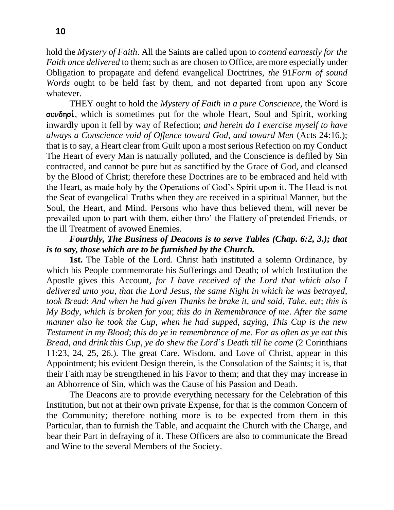hold the *Mystery of Faith*. All the Saints are called upon to *contend earnestly for the Faith once delivered* to them; such as are chosen to Office, are more especially under Obligation to propagate and defend evangelical Doctrines, *the* 91*Form of sound Words* ought to be held fast by them, and not departed from upon any Score whatever.

THEY ought to hold the *Mystery of Faith in a pure Conscience,* the Word is sundhsiv*,* which is sometimes put for the whole Heart, Soul and Spirit, working inwardly upon it fell by way of Refection; *and herein do I exercise myself to have always a Conscience void of Offence toward God, and toward Men* (Acts 24:16.); that is to say, a Heart clear from Guilt upon a most serious Refection on my Conduct The Heart of every Man is naturally polluted, and the Conscience is defiled by Sin contracted, and cannot be pure but as sanctified by the Grace of God, and cleansed by the Blood of Christ; therefore these Doctrines are to be embraced and held with the Heart, as made holy by the Operations of God's Spirit upon it. The Head is not the Seat of evangelical Truths when they are received in a spiritual Manner, but the Soul, the Heart, and Mind. Persons who have thus believed them, will never be prevailed upon to part with them, either thro' the Flattery of pretended Friends, or the ill Treatment of avowed Enemies.

### *Fourthly, The Business of Deacons is to serve Tables (Chap. 6:2, 3.); that is to say, those which are to be furnished by the Church.*

**1st.** The Table of the Lord. Christ hath instituted a solemn Ordinance, by which his People commemorate his Sufferings and Death; of which Institution the Apostle gives this Account, *for I have received of the Lord that which also I delivered unto you, that the Lord Jesus, the same Night in which he was betrayed, took Bread*: *And when he had given Thanks he brake it, and said, Take, eat*; *this is My Body, which is broken for you*; *this do in Remembrance of me*. *After the same manner also he took the Cup, when he had supped, saying, This Cup is the new Testament in my Blood*; *this do ye in remembrance of me*. *For as often as ye eat this Bread, and drink this Cup, ye do shew the Lord*'*s Death till he come* (2 Corinthians 11:23, 24, 25, 26.). The great Care, Wisdom, and Love of Christ, appear in this Appointment; his evident Design therein, is the Consolation of the Saints; it is, that their Faith may be strengthened in his Favor to them; and that they may increase in an Abhorrence of Sin, which was the Cause of his Passion and Death.

The Deacons are to provide everything necessary for the Celebration of this Institution, but not at their own private Expense, for that is the common Concern of the Community; therefore nothing more is to be expected from them in this Particular, than to furnish the Table, and acquaint the Church with the Charge, and bear their Part in defraying of it. These Officers are also to communicate the Bread and Wine to the several Members of the Society.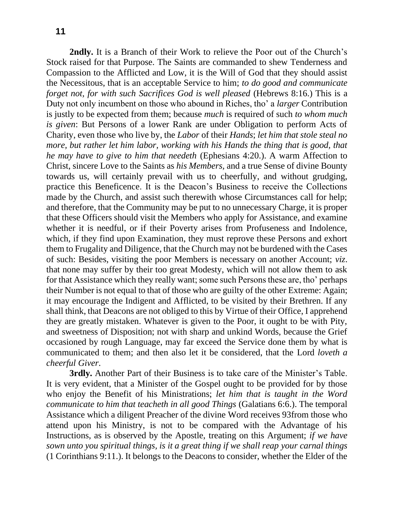**2ndly.** It is a Branch of their Work to relieve the Poor out of the Church's Stock raised for that Purpose. The Saints are commanded to shew Tenderness and Compassion to the Afflicted and Low, it is the Will of God that they should assist the Necessitous, that is an acceptable Service to him; *to do good and communicate forget not, for with such Sacrifices God is well pleased* (Hebrews 8:16.) This is a Duty not only incumbent on those who abound in Riches, tho' a *larger* Contribution is justly to be expected from them; because *much* is required of such *to whom much is given*: But Persons of a lower Rank are under Obligation to perform Acts of Charity, even those who live by, the *Labor* of their *Hands*; *let him that stole steal no more, but rather let him labor, working with his Hands the thing that is good, that he may have to give to him that needeth* (Ephesians 4:20.). A warm Affection to Christ, sincere Love to the Saints as *his Members,* and a true Sense of divine Bounty towards us, will certainly prevail with us to cheerfully, and without grudging, practice this Beneficence. It is the Deacon's Business to receive the Collections made by the Church, and assist such therewith whose Circumstances call for help; and therefore, that the Community may be put to no unnecessary Charge, it is proper that these Officers should visit the Members who apply for Assistance, and examine whether it is needful, or if their Poverty arises from Profuseness and Indolence, which, if they find upon Examination, they must reprove these Persons and exhort them to Frugality and Diligence, that the Church may not be burdened with the Cases of such: Besides, visiting the poor Members is necessary on another Account; *viz*. that none may suffer by their too great Modesty, which will not allow them to ask for that Assistance which they really want; some such Persons these are, tho' perhaps their Number is not equal to that of those who are guilty of the other Extreme: Again; it may encourage the Indigent and Afflicted, to be visited by their Brethren. If any shall think, that Deacons are not obliged to this by Virtue of their Office, I apprehend they are greatly mistaken. Whatever is given to the Poor, it ought to be with Pity, and sweetness of Disposition; not with sharp and unkind Words, because the Grief occasioned by rough Language, may far exceed the Service done them by what is communicated to them; and then also let it be considered, that the Lord *loveth a cheerful Giver*.

**3rdly.** Another Part of their Business is to take care of the Minister's Table. It is very evident, that a Minister of the Gospel ought to be provided for by those who enjoy the Benefit of his Ministrations; *let him that is taught in the Word communicate to him that teacheth in all good Things* (Galatians 6:6.). The temporal Assistance which a diligent Preacher of the divine Word receives 93from those who attend upon his Ministry, is not to be compared with the Advantage of his Instructions, as is observed by the Apostle, treating on this Argument; *if we have sown unto you spiritual things, is it a great thing if we shall reap your carnal things* (1 Corinthians 9:11.). It belongs to the Deacons to consider, whether the Elder of the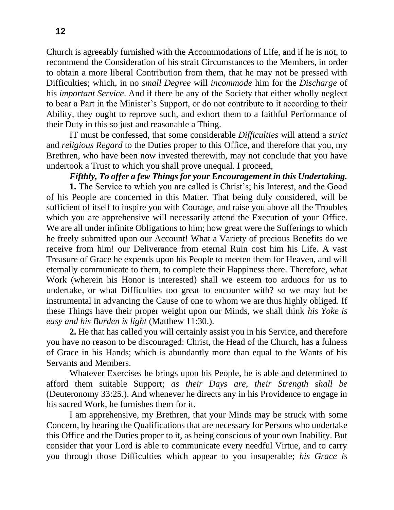Church is agreeably furnished with the Accommodations of Life, and if he is not, to recommend the Consideration of his strait Circumstances to the Members, in order to obtain a more liberal Contribution from them, that he may not be pressed with Difficulties; which, in no *small Degree* will *incommode* him for the *Discharge* of his *important Service*. And if there be any of the Society that either wholly neglect to bear a Part in the Minister's Support, or do not contribute to it according to their Ability, they ought to reprove such, and exhort them to a faithful Performance of their Duty in this so just and reasonable a Thing.

IT must be confessed, that some considerable *Difficulties* will attend a *strict*  and *religious Regard* to the Duties proper to this Office, and therefore that you, my Brethren, who have been now invested therewith, may not conclude that you have undertook a Trust to which you shall prove unequal. I proceed,

#### *Fifthly, To offer a few Things for your Encouragement in this Undertaking.*

**1.** The Service to which you are called is Christ's; his Interest, and the Good of his People are concerned in this Matter. That being duly considered, will be sufficient of itself to inspire you with Courage, and raise you above all the Troubles which you are apprehensive will necessarily attend the Execution of your Office. We are all under infinite Obligations to him; how great were the Sufferings to which he freely submitted upon our Account! What a Variety of precious Benefits do we receive from him! our Deliverance from eternal Ruin cost him his Life. A vast Treasure of Grace he expends upon his People to meeten them for Heaven, and will eternally communicate to them, to complete their Happiness there. Therefore, what Work (wherein his Honor is interested) shall we esteem too arduous for us to undertake, or what Difficulties too great to encounter with? so we may but be instrumental in advancing the Cause of one to whom we are thus highly obliged. If these Things have their proper weight upon our Minds, we shall think *his Yoke is easy and his Burden is light* (Matthew 11:30.).

**2.** He that has called you will certainly assist you in his Service, and therefore you have no reason to be discouraged: Christ, the Head of the Church, has a fulness of Grace in his Hands; which is abundantly more than equal to the Wants of his Servants and Members.

Whatever Exercises he brings upon his People, he is able and determined to afford them suitable Support; *as their Days are, their Strength* s*hall be*  (Deuteronomy 33:25.). And whenever he directs any in his Providence to engage in his sacred Work, he furnishes them for it.

I am apprehensive, my Brethren, that your Minds may be struck with some Concern, by hearing the Qualifications that are necessary for Persons who undertake this Office and the Duties proper to it, as being conscious of your own Inability. But consider that your Lord is able to communicate every needful Virtue, and to carry you through those Difficulties which appear to you insuperable; *his Grace is*